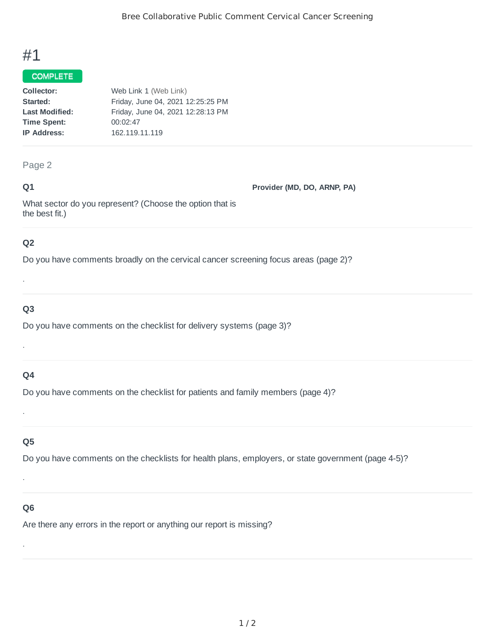# #1

#### COMPLETE

| Collector:            | Web Link 1 (Web Link)             |  |
|-----------------------|-----------------------------------|--|
| Started:              | Friday, June 04, 2021 12:25:25 PM |  |
| <b>Last Modified:</b> | Friday, June 04, 2021 12:28:13 PM |  |
| <b>Time Spent:</b>    | 00:02:47                          |  |
| <b>IP Address:</b>    | 162.119.11.119                    |  |

#### Page 2

#### **Q1**

**Provider (MD, DO, ARNP, PA)**

What sector do you represent? (Choose the option that is the best fit.)

### **Q2**

Do you have comments broadly on the cervical cancer screening focus areas (page 2)?

## **Q3**

.

Do you have comments on the checklist for delivery systems (page 3)?

## **Q4**

.

Do you have comments on the checklist for patients and family members (page 4)?

#### **Q5**

.

Do you have comments on the checklists for health plans, employers, or state government (page 4-5)?

#### **Q6**

.

.

Are there any errors in the report or anything our report is missing?